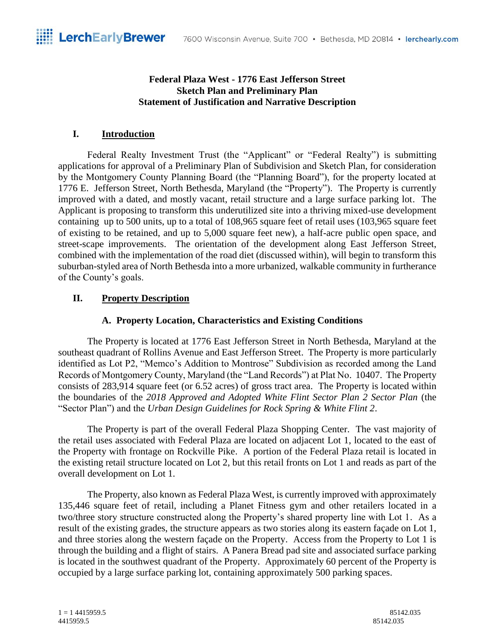## **Federal Plaza West - 1776 East Jefferson Street Sketch Plan and Preliminary Plan Statement of Justification and Narrative Description**

# **I. Introduction**

Federal Realty Investment Trust (the "Applicant" or "Federal Realty") is submitting applications for approval of a Preliminary Plan of Subdivision and Sketch Plan, for consideration by the Montgomery County Planning Board (the "Planning Board"), for the property located at 1776 E. Jefferson Street, North Bethesda, Maryland (the "Property"). The Property is currently improved with a dated, and mostly vacant, retail structure and a large surface parking lot. The Applicant is proposing to transform this underutilized site into a thriving mixed-use development containing up to 500 units, up to a total of 108,965 square feet of retail uses (103,965 square feet of existing to be retained, and up to 5,000 square feet new), a half-acre public open space, and street-scape improvements. The orientation of the development along East Jefferson Street, combined with the implementation of the road diet (discussed within), will begin to transform this suburban-styled area of North Bethesda into a more urbanized, walkable community in furtherance of the County's goals.

# **II. Property Description**

# **A. Property Location, Characteristics and Existing Conditions**

The Property is located at 1776 East Jefferson Street in North Bethesda, Maryland at the southeast quadrant of Rollins Avenue and East Jefferson Street. The Property is more particularly identified as Lot P2, "Memco's Addition to Montrose" Subdivision as recorded among the Land Records of Montgomery County, Maryland (the "Land Records") at Plat No. 10407. The Property consists of 283,914 square feet (or 6.52 acres) of gross tract area. The Property is located within the boundaries of the *2018 Approved and Adopted White Flint Sector Plan 2 Sector Plan* (the "Sector Plan") and the *Urban Design Guidelines for Rock Spring & White Flint 2*.

The Property is part of the overall Federal Plaza Shopping Center. The vast majority of the retail uses associated with Federal Plaza are located on adjacent Lot 1, located to the east of the Property with frontage on Rockville Pike. A portion of the Federal Plaza retail is located in the existing retail structure located on Lot 2, but this retail fronts on Lot 1 and reads as part of the overall development on Lot 1.

The Property, also known as Federal Plaza West, is currently improved with approximately 135,446 square feet of retail, including a Planet Fitness gym and other retailers located in a two/three story structure constructed along the Property's shared property line with Lot 1. As a result of the existing grades, the structure appears as two stories along its eastern façade on Lot 1, and three stories along the western façade on the Property. Access from the Property to Lot 1 is through the building and a flight of stairs. A Panera Bread pad site and associated surface parking is located in the southwest quadrant of the Property. Approximately 60 percent of the Property is occupied by a large surface parking lot, containing approximately 500 parking spaces.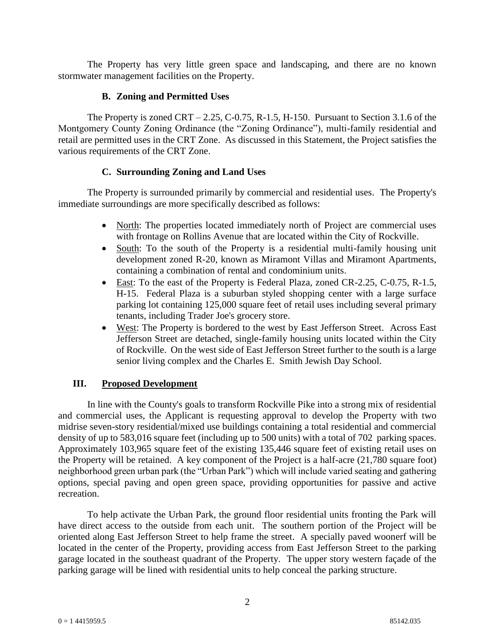The Property has very little green space and landscaping, and there are no known stormwater management facilities on the Property.

### **B. Zoning and Permitted Uses**

The Property is zoned  $CRT - 2.25$ , C-0.75, R-1.5, H-150. Pursuant to Section 3.1.6 of the Montgomery County Zoning Ordinance (the "Zoning Ordinance"), multi-family residential and retail are permitted uses in the CRT Zone. As discussed in this Statement, the Project satisfies the various requirements of the CRT Zone.

## **C. Surrounding Zoning and Land Uses**

The Property is surrounded primarily by commercial and residential uses. The Property's immediate surroundings are more specifically described as follows:

- North: The properties located immediately north of Project are commercial uses with frontage on Rollins Avenue that are located within the City of Rockville.
- South: To the south of the Property is a residential multi-family housing unit development zoned R-20, known as Miramont Villas and Miramont Apartments, containing a combination of rental and condominium units.
- East: To the east of the Property is Federal Plaza, zoned CR-2.25, C-0.75, R-1.5, H-15. Federal Plaza is a suburban styled shopping center with a large surface parking lot containing 125,000 square feet of retail uses including several primary tenants, including Trader Joe's grocery store.
- West: The Property is bordered to the west by East Jefferson Street. Across East Jefferson Street are detached, single-family housing units located within the City of Rockville. On the west side of East Jefferson Street further to the south is a large senior living complex and the Charles E. Smith Jewish Day School.

### **III. Proposed Development**

In line with the County's goals to transform Rockville Pike into a strong mix of residential and commercial uses, the Applicant is requesting approval to develop the Property with two midrise seven-story residential/mixed use buildings containing a total residential and commercial density of up to 583,016 square feet (including up to 500 units) with a total of 702 parking spaces. Approximately 103,965 square feet of the existing 135,446 square feet of existing retail uses on the Property will be retained. A key component of the Project is a half-acre (21,780 square foot) neighborhood green urban park (the "Urban Park") which will include varied seating and gathering options, special paving and open green space, providing opportunities for passive and active recreation.

To help activate the Urban Park, the ground floor residential units fronting the Park will have direct access to the outside from each unit. The southern portion of the Project will be oriented along East Jefferson Street to help frame the street. A specially paved woonerf will be located in the center of the Property, providing access from East Jefferson Street to the parking garage located in the southeast quadrant of the Property. The upper story western façade of the parking garage will be lined with residential units to help conceal the parking structure.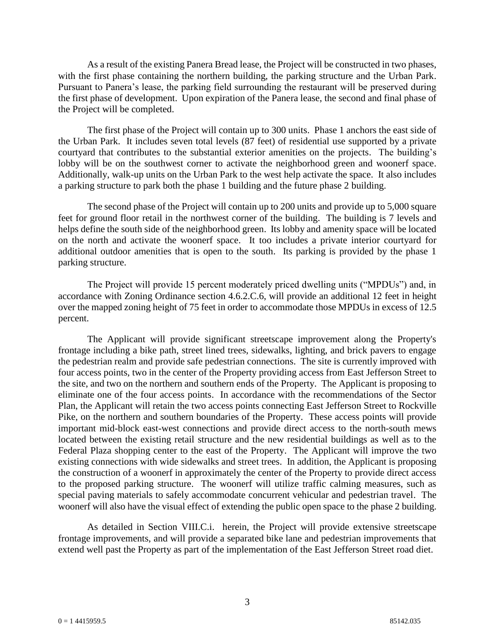As a result of the existing Panera Bread lease, the Project will be constructed in two phases, with the first phase containing the northern building, the parking structure and the Urban Park. Pursuant to Panera's lease, the parking field surrounding the restaurant will be preserved during the first phase of development. Upon expiration of the Panera lease, the second and final phase of the Project will be completed.

The first phase of the Project will contain up to 300 units. Phase 1 anchors the east side of the Urban Park. It includes seven total levels (87 feet) of residential use supported by a private courtyard that contributes to the substantial exterior amenities on the projects. The building's lobby will be on the southwest corner to activate the neighborhood green and woonerf space. Additionally, walk-up units on the Urban Park to the west help activate the space. It also includes a parking structure to park both the phase 1 building and the future phase 2 building.

The second phase of the Project will contain up to 200 units and provide up to 5,000 square feet for ground floor retail in the northwest corner of the building. The building is 7 levels and helps define the south side of the neighborhood green. Its lobby and amenity space will be located on the north and activate the woonerf space. It too includes a private interior courtyard for additional outdoor amenities that is open to the south. Its parking is provided by the phase 1 parking structure.

The Project will provide 15 percent moderately priced dwelling units ("MPDUs") and, in accordance with Zoning Ordinance section 4.6.2.C.6, will provide an additional 12 feet in height over the mapped zoning height of 75 feet in order to accommodate those MPDUs in excess of 12.5 percent.

The Applicant will provide significant streetscape improvement along the Property's frontage including a bike path, street lined trees, sidewalks, lighting, and brick pavers to engage the pedestrian realm and provide safe pedestrian connections. The site is currently improved with four access points, two in the center of the Property providing access from East Jefferson Street to the site, and two on the northern and southern ends of the Property. The Applicant is proposing to eliminate one of the four access points. In accordance with the recommendations of the Sector Plan, the Applicant will retain the two access points connecting East Jefferson Street to Rockville Pike, on the northern and southern boundaries of the Property. These access points will provide important mid-block east-west connections and provide direct access to the north-south mews located between the existing retail structure and the new residential buildings as well as to the Federal Plaza shopping center to the east of the Property. The Applicant will improve the two existing connections with wide sidewalks and street trees. In addition, the Applicant is proposing the construction of a woonerf in approximately the center of the Property to provide direct access to the proposed parking structure. The woonerf will utilize traffic calming measures, such as special paving materials to safely accommodate concurrent vehicular and pedestrian travel. The woonerf will also have the visual effect of extending the public open space to the phase 2 building.

As detailed in Section VIII.C.i. herein, the Project will provide extensive streetscape frontage improvements, and will provide a separated bike lane and pedestrian improvements that extend well past the Property as part of the implementation of the East Jefferson Street road diet.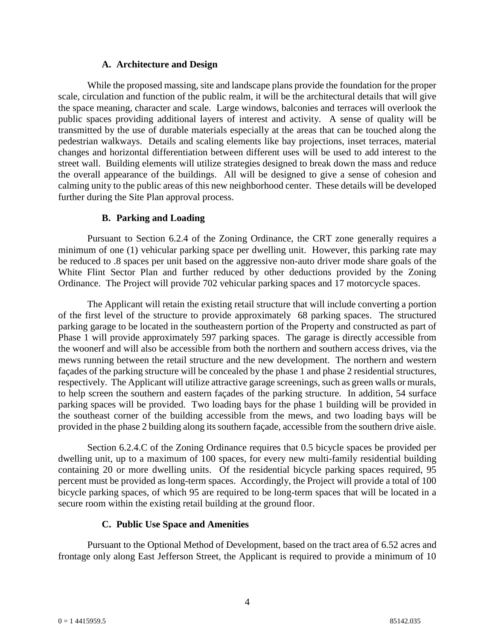### **A. Architecture and Design**

While the proposed massing, site and landscape plans provide the foundation for the proper scale, circulation and function of the public realm, it will be the architectural details that will give the space meaning, character and scale. Large windows, balconies and terraces will overlook the public spaces providing additional layers of interest and activity. A sense of quality will be transmitted by the use of durable materials especially at the areas that can be touched along the pedestrian walkways. Details and scaling elements like bay projections, inset terraces, material changes and horizontal differentiation between different uses will be used to add interest to the street wall. Building elements will utilize strategies designed to break down the mass and reduce the overall appearance of the buildings. All will be designed to give a sense of cohesion and calming unity to the public areas of this new neighborhood center. These details will be developed further during the Site Plan approval process.

# **B. Parking and Loading**

Pursuant to Section 6.2.4 of the Zoning Ordinance, the CRT zone generally requires a minimum of one (1) vehicular parking space per dwelling unit. However, this parking rate may be reduced to .8 spaces per unit based on the aggressive non-auto driver mode share goals of the White Flint Sector Plan and further reduced by other deductions provided by the Zoning Ordinance. The Project will provide 702 vehicular parking spaces and 17 motorcycle spaces.

The Applicant will retain the existing retail structure that will include converting a portion of the first level of the structure to provide approximately 68 parking spaces. The structured parking garage to be located in the southeastern portion of the Property and constructed as part of Phase 1 will provide approximately 597 parking spaces. The garage is directly accessible from the woonerf and will also be accessible from both the northern and southern access drives, via the mews running between the retail structure and the new development. The northern and western façades of the parking structure will be concealed by the phase 1 and phase 2 residential structures, respectively. The Applicant will utilize attractive garage screenings, such as green walls or murals, to help screen the southern and eastern façades of the parking structure. In addition, 54 surface parking spaces will be provided. Two loading bays for the phase 1 building will be provided in the southeast corner of the building accessible from the mews, and two loading bays will be provided in the phase 2 building along its southern façade, accessible from the southern drive aisle.

Section 6.2.4.C of the Zoning Ordinance requires that 0.5 bicycle spaces be provided per dwelling unit, up to a maximum of 100 spaces, for every new multi-family residential building containing 20 or more dwelling units. Of the residential bicycle parking spaces required, 95 percent must be provided as long-term spaces. Accordingly, the Project will provide a total of 100 bicycle parking spaces, of which 95 are required to be long-term spaces that will be located in a secure room within the existing retail building at the ground floor.

# **C. Public Use Space and Amenities**

Pursuant to the Optional Method of Development, based on the tract area of 6.52 acres and frontage only along East Jefferson Street, the Applicant is required to provide a minimum of 10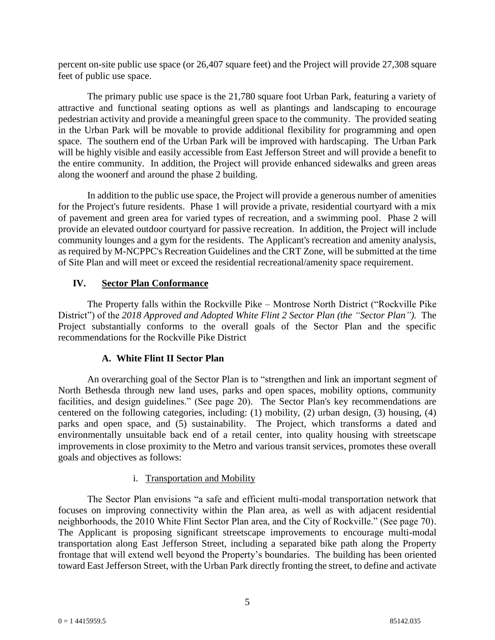percent on-site public use space (or 26,407 square feet) and the Project will provide 27,308 square feet of public use space.

The primary public use space is the 21,780 square foot Urban Park, featuring a variety of attractive and functional seating options as well as plantings and landscaping to encourage pedestrian activity and provide a meaningful green space to the community. The provided seating in the Urban Park will be movable to provide additional flexibility for programming and open space. The southern end of the Urban Park will be improved with hardscaping. The Urban Park will be highly visible and easily accessible from East Jefferson Street and will provide a benefit to the entire community. In addition, the Project will provide enhanced sidewalks and green areas along the woonerf and around the phase 2 building.

In addition to the public use space, the Project will provide a generous number of amenities for the Project's future residents. Phase 1 will provide a private, residential courtyard with a mix of pavement and green area for varied types of recreation, and a swimming pool. Phase 2 will provide an elevated outdoor courtyard for passive recreation. In addition, the Project will include community lounges and a gym for the residents. The Applicant's recreation and amenity analysis, as required by M-NCPPC's Recreation Guidelines and the CRT Zone, will be submitted at the time of Site Plan and will meet or exceed the residential recreational/amenity space requirement.

## **IV. Sector Plan Conformance**

The Property falls within the Rockville Pike – Montrose North District ("Rockville Pike District") of the 2018 Approved and Adopted White Flint 2 Sector Plan (the "Sector Plan"). The Project substantially conforms to the overall goals of the Sector Plan and the specific recommendations for the Rockville Pike District

# **A. White Flint II Sector Plan**

An overarching goal of the Sector Plan is to "strengthen and link an important segment of North Bethesda through new land uses, parks and open spaces, mobility options, community facilities, and design guidelines." (See page 20). The Sector Plan's key recommendations are centered on the following categories, including: (1) mobility, (2) urban design, (3) housing, (4) parks and open space, and (5) sustainability. The Project, which transforms a dated and environmentally unsuitable back end of a retail center, into quality housing with streetscape improvements in close proximity to the Metro and various transit services, promotes these overall goals and objectives as follows:

### i. Transportation and Mobility

The Sector Plan envisions "a safe and efficient multi-modal transportation network that focuses on improving connectivity within the Plan area, as well as with adjacent residential neighborhoods, the 2010 White Flint Sector Plan area, and the City of Rockville." (See page 70). The Applicant is proposing significant streetscape improvements to encourage multi-modal transportation along East Jefferson Street, including a separated bike path along the Property frontage that will extend well beyond the Property's boundaries. The building has been oriented toward East Jefferson Street, with the Urban Park directly fronting the street, to define and activate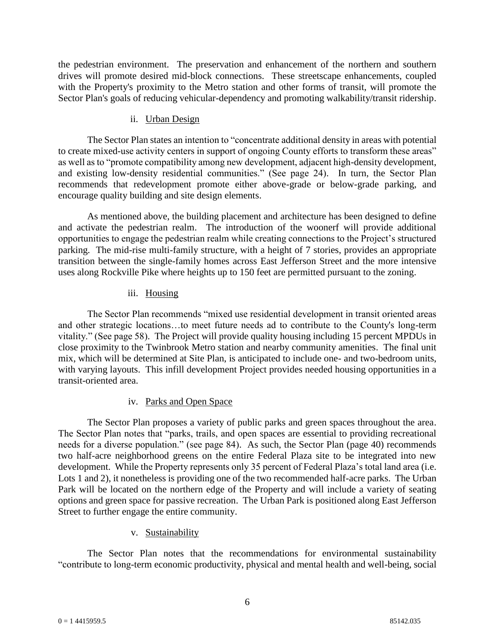the pedestrian environment. The preservation and enhancement of the northern and southern drives will promote desired mid-block connections. These streetscape enhancements, coupled with the Property's proximity to the Metro station and other forms of transit, will promote the Sector Plan's goals of reducing vehicular-dependency and promoting walkability/transit ridership.

### ii. Urban Design

The Sector Plan states an intention to "concentrate additional density in areas with potential to create mixed-use activity centers in support of ongoing County efforts to transform these areas" as well as to "promote compatibility among new development, adjacent high-density development, and existing low-density residential communities." (See page 24). In turn, the Sector Plan recommends that redevelopment promote either above-grade or below-grade parking, and encourage quality building and site design elements.

As mentioned above, the building placement and architecture has been designed to define and activate the pedestrian realm. The introduction of the woonerf will provide additional opportunities to engage the pedestrian realm while creating connections to the Project's structured parking. The mid-rise multi-family structure, with a height of 7 stories, provides an appropriate transition between the single-family homes across East Jefferson Street and the more intensive uses along Rockville Pike where heights up to 150 feet are permitted pursuant to the zoning.

## iii. Housing

The Sector Plan recommends "mixed use residential development in transit oriented areas and other strategic locations…to meet future needs ad to contribute to the County's long-term vitality." (See page 58). The Project will provide quality housing including 15 percent MPDUs in close proximity to the Twinbrook Metro station and nearby community amenities. The final unit mix, which will be determined at Site Plan, is anticipated to include one- and two-bedroom units, with varying layouts. This infill development Project provides needed housing opportunities in a transit-oriented area.

# iv. Parks and Open Space

The Sector Plan proposes a variety of public parks and green spaces throughout the area. The Sector Plan notes that "parks, trails, and open spaces are essential to providing recreational needs for a diverse population." (see page 84). As such, the Sector Plan (page 40) recommends two half-acre neighborhood greens on the entire Federal Plaza site to be integrated into new development. While the Property represents only 35 percent of Federal Plaza's total land area (i.e. Lots 1 and 2), it nonetheless is providing one of the two recommended half-acre parks. The Urban Park will be located on the northern edge of the Property and will include a variety of seating options and green space for passive recreation. The Urban Park is positioned along East Jefferson Street to further engage the entire community.

# v. Sustainability

The Sector Plan notes that the recommendations for environmental sustainability "contribute to long-term economic productivity, physical and mental health and well-being, social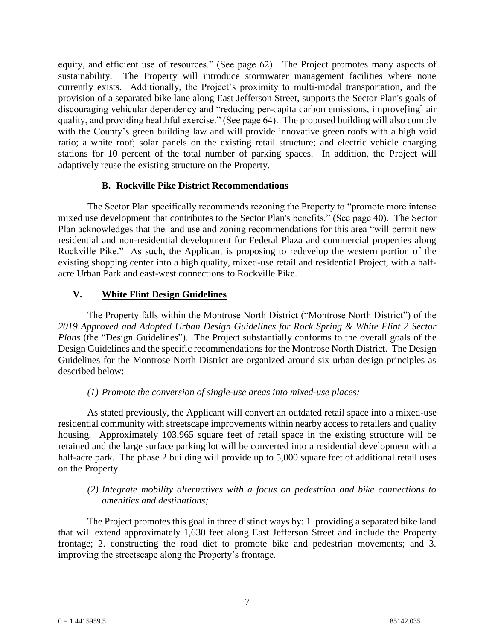equity, and efficient use of resources." (See page 62). The Project promotes many aspects of sustainability. The Property will introduce stormwater management facilities where none currently exists. Additionally, the Project's proximity to multi-modal transportation, and the provision of a separated bike lane along East Jefferson Street, supports the Sector Plan's goals of discouraging vehicular dependency and "reducing per-capita carbon emissions, improve[ing] air quality, and providing healthful exercise." (See page 64). The proposed building will also comply with the County's green building law and will provide innovative green roofs with a high void ratio; a white roof; solar panels on the existing retail structure; and electric vehicle charging stations for 10 percent of the total number of parking spaces. In addition, the Project will adaptively reuse the existing structure on the Property.

## **B. Rockville Pike District Recommendations**

The Sector Plan specifically recommends rezoning the Property to "promote more intense mixed use development that contributes to the Sector Plan's benefits." (See page 40). The Sector Plan acknowledges that the land use and zoning recommendations for this area "will permit new residential and non-residential development for Federal Plaza and commercial properties along Rockville Pike." As such, the Applicant is proposing to redevelop the western portion of the existing shopping center into a high quality, mixed-use retail and residential Project, with a halfacre Urban Park and east-west connections to Rockville Pike.

## **V. White Flint Design Guidelines**

The Property falls within the Montrose North District ("Montrose North District") of the *2019 Approved and Adopted Urban Design Guidelines for Rock Spring & White Flint 2 Sector Plans* (the "Design Guidelines")*.* The Project substantially conforms to the overall goals of the Design Guidelines and the specific recommendations for the Montrose North District. The Design Guidelines for the Montrose North District are organized around six urban design principles as described below:

# *(1) Promote the conversion of single-use areas into mixed-use places;*

As stated previously, the Applicant will convert an outdated retail space into a mixed-use residential community with streetscape improvements within nearby access to retailers and quality housing. Approximately 103,965 square feet of retail space in the existing structure will be retained and the large surface parking lot will be converted into a residential development with a half-acre park. The phase 2 building will provide up to 5,000 square feet of additional retail uses on the Property.

## *(2) Integrate mobility alternatives with a focus on pedestrian and bike connections to amenities and destinations;*

The Project promotes this goal in three distinct ways by: 1. providing a separated bike land that will extend approximately 1,630 feet along East Jefferson Street and include the Property frontage; 2. constructing the road diet to promote bike and pedestrian movements; and 3. improving the streetscape along the Property's frontage.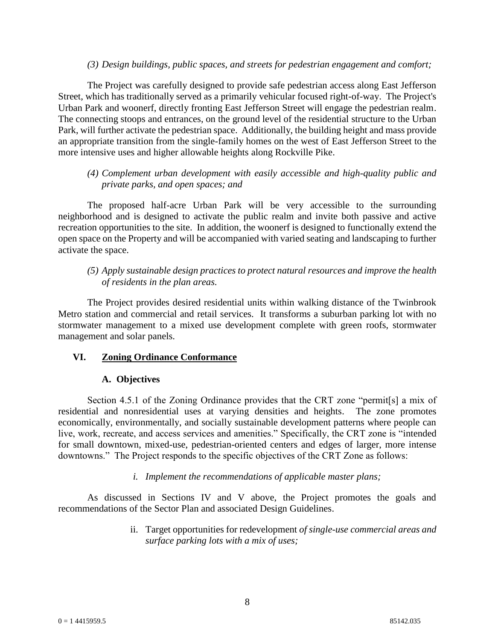### *(3) Design buildings, public spaces, and streets for pedestrian engagement and comfort;*

The Project was carefully designed to provide safe pedestrian access along East Jefferson Street, which has traditionally served as a primarily vehicular focused right-of-way. The Project's Urban Park and woonerf, directly fronting East Jefferson Street will engage the pedestrian realm. The connecting stoops and entrances, on the ground level of the residential structure to the Urban Park, will further activate the pedestrian space. Additionally, the building height and mass provide an appropriate transition from the single-family homes on the west of East Jefferson Street to the more intensive uses and higher allowable heights along Rockville Pike.

## *(4) Complement urban development with easily accessible and high-quality public and private parks, and open spaces; and*

The proposed half-acre Urban Park will be very accessible to the surrounding neighborhood and is designed to activate the public realm and invite both passive and active recreation opportunities to the site. In addition, the woonerf is designed to functionally extend the open space on the Property and will be accompanied with varied seating and landscaping to further activate the space.

### *(5) Apply sustainable design practices to protect natural resources and improve the health of residents in the plan areas.*

The Project provides desired residential units within walking distance of the Twinbrook Metro station and commercial and retail services. It transforms a suburban parking lot with no stormwater management to a mixed use development complete with green roofs, stormwater management and solar panels.

### **VI. Zoning Ordinance Conformance**

# **A. Objectives**

Section 4.5.1 of the Zoning Ordinance provides that the CRT zone "permit[s] a mix of residential and nonresidential uses at varying densities and heights. The zone promotes economically, environmentally, and socially sustainable development patterns where people can live, work, recreate, and access services and amenities." Specifically, the CRT zone is "intended for small downtown, mixed-use, pedestrian-oriented centers and edges of larger, more intense downtowns." The Project responds to the specific objectives of the CRT Zone as follows:

### *i. Implement the recommendations of applicable master plans;*

As discussed in Sections IV and V above, the Project promotes the goals and recommendations of the Sector Plan and associated Design Guidelines.

> ii. Target opportunities for redevelopment *of single-use commercial areas and surface parking lots with a mix of uses;*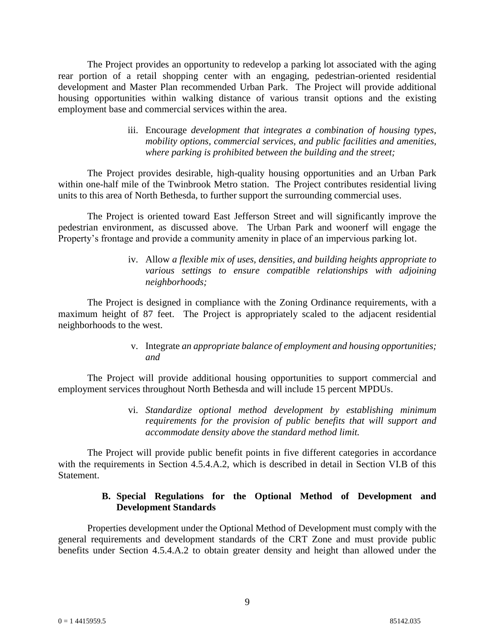The Project provides an opportunity to redevelop a parking lot associated with the aging rear portion of a retail shopping center with an engaging, pedestrian-oriented residential development and Master Plan recommended Urban Park. The Project will provide additional housing opportunities within walking distance of various transit options and the existing employment base and commercial services within the area.

> iii. Encourage *development that integrates a combination of housing types, mobility options, commercial services, and public facilities and amenities, where parking is prohibited between the building and the street;*

The Project provides desirable, high-quality housing opportunities and an Urban Park within one-half mile of the Twinbrook Metro station. The Project contributes residential living units to this area of North Bethesda, to further support the surrounding commercial uses.

The Project is oriented toward East Jefferson Street and will significantly improve the pedestrian environment, as discussed above. The Urban Park and woonerf will engage the Property's frontage and provide a community amenity in place of an impervious parking lot.

> iv. Allow *a flexible mix of uses, densities, and building heights appropriate to various settings to ensure compatible relationships with adjoining neighborhoods;*

The Project is designed in compliance with the Zoning Ordinance requirements, with a maximum height of 87 feet. The Project is appropriately scaled to the adjacent residential neighborhoods to the west.

> v. Integrate *an appropriate balance of employment and housing opportunities; and*

The Project will provide additional housing opportunities to support commercial and employment services throughout North Bethesda and will include 15 percent MPDUs.

> vi. *Standardize optional method development by establishing minimum requirements for the provision of public benefits that will support and accommodate density above the standard method limit.*

The Project will provide public benefit points in five different categories in accordance with the requirements in Section 4.5.4.A.2, which is described in detail in Section VI.B of this Statement.

### **B. Special Regulations for the Optional Method of Development and Development Standards**

Properties development under the Optional Method of Development must comply with the general requirements and development standards of the CRT Zone and must provide public benefits under Section 4.5.4.A.2 to obtain greater density and height than allowed under the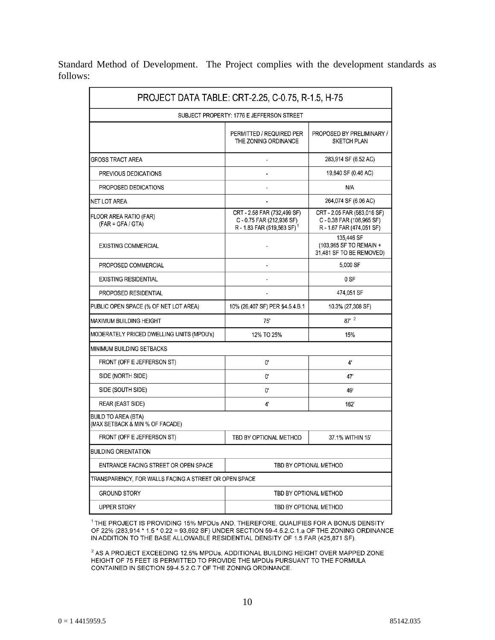Standard Method of Development. The Project complies with the development standards as follows:

|                                                               | PROJECT DATA TABLE: CRT-2.25, C-0.75, R-1.5, H-75                                                |                                                                                       |
|---------------------------------------------------------------|--------------------------------------------------------------------------------------------------|---------------------------------------------------------------------------------------|
|                                                               | SUBJECT PROPERTY: 1776 E JEFFERSON STREET                                                        |                                                                                       |
|                                                               | PERMITTED / REQUIRED PER<br>THE ZONING ORDINANCE                                                 | PROPOSED BY PRELIMINARY /<br><b>SKETCH PLAN</b>                                       |
| GROSS TRACT AREA                                              | $\overline{\phantom{a}}$                                                                         | 283,914 SF (6.52 AC)                                                                  |
| PREVIOUS DEDICATIONS                                          | ä,                                                                                               | 19,840 SF (0.46 AC)                                                                   |
| PROPOSED DEDICATIONS                                          |                                                                                                  | N/A                                                                                   |
| <b>NET LOT AREA</b>                                           |                                                                                                  | 264,074 SF (6.06 AC)                                                                  |
| FLOOR AREA RATIO (FAR)<br>$(FAR = GFA / GTA)$                 | CRT - 2.58 FAR (732,499 SF)<br>C-0.75 FAR (212,936 SF)<br>R - 1.83 FAR (519,563 SF) <sup>1</sup> | CRT - 2.05 FAR (583,016 SF)<br>C - 0.38 FAR (108,965 SF)<br>R - 1.67 FAR (474,051 SF) |
| <b>EXISTING COMMERCIAL</b>                                    |                                                                                                  | 135,446 SF<br>(103,965 SF TO REMAIN +<br>31,481 SF TO BE REMOVED)                     |
| PROPOSED COMMERCIAL                                           |                                                                                                  | 5.000 SF                                                                              |
| <b>EXISTING RESIDENTIAL</b>                                   |                                                                                                  | 0 SF                                                                                  |
| PROPOSED RESIDENTIAL                                          |                                                                                                  | 474,051 SF                                                                            |
| PUBLIC OPEN SPACE (% OF NET LOT AREA)                         | 10% (26,407 SF) PER §4.5.4.B.1                                                                   | 10.3% (27,308 SF)                                                                     |
| MAXIMUM BUILDING HEIGHT                                       | 75'                                                                                              | $87'$ $^2$                                                                            |
| MODERATELY PRICED DWELLING UNITS (MPDU's)                     | 12% TO 25%                                                                                       | 15%                                                                                   |
| MINIMUM BUILDING SETBACKS                                     |                                                                                                  |                                                                                       |
| FRONT (OFF E JEFFERSON ST)                                    | 0'                                                                                               | 4'                                                                                    |
| SIDE (NORTH SIDE)                                             | O.                                                                                               | 47'                                                                                   |
| SIDE (SOUTH SIDE)                                             | $\mathbf{0}^{\prime}$                                                                            | 49'                                                                                   |
| REAR (EAST SIDE)                                              | 4'                                                                                               | 162'                                                                                  |
| <b>BUILD TO AREA (BTA)</b><br>(MAX SETBACK & MIN % OF FACADE) |                                                                                                  |                                                                                       |
| FRONT (OFF E JEFFERSON ST)                                    | TBD BY OPTIONAL METHOD                                                                           | 37.1% WITHIN 15'                                                                      |
| <b>BUILDING ORIENTATION</b>                                   |                                                                                                  |                                                                                       |
| ENTRANCE FACING STREET OR OPEN SPACE                          | TBD BY OPTIONAL METHOD                                                                           |                                                                                       |
| TRANSPARENCY, FOR WALLS FACING A STREET OR OPEN SPACE         |                                                                                                  |                                                                                       |
| <b>GROUND STORY</b>                                           | TBD BY OPTIONAL METHOD                                                                           |                                                                                       |
| UPPER STORY                                                   | TBD BY OPTIONAL METHOD                                                                           |                                                                                       |

<sup>1</sup> THE PROJECT IS PROVIDING 15% MPDUs AND, THEREFORE, QUALIFIES FOR A BONUS DENSITY OF 22% (283,914 \* 1.5 \* 0.22 = 93,692 SF) UNDER SECTION 59-4.5.2.C.1.a OF THE ZONING ORDINANCE IN ADDITION TO THE BASE ALLOWABLE RESIDENTIAL DENSITY OF 1.5 FAR (425,871 SF).

<sup>2</sup> AS A PROJECT EXCEEDING 12.5% MPDUs, ADDITIONAL BUILDING HEIGHT OVER MAPPED ZONE HEIGHT OF 75 FEET IS PERMITTED TO PROVIDE THE MPDUs PURSUANT TO THE FORMULA CONTAINED IN SECTION 59-4.5.2.C.7 OF THE ZONING ORDINANCE.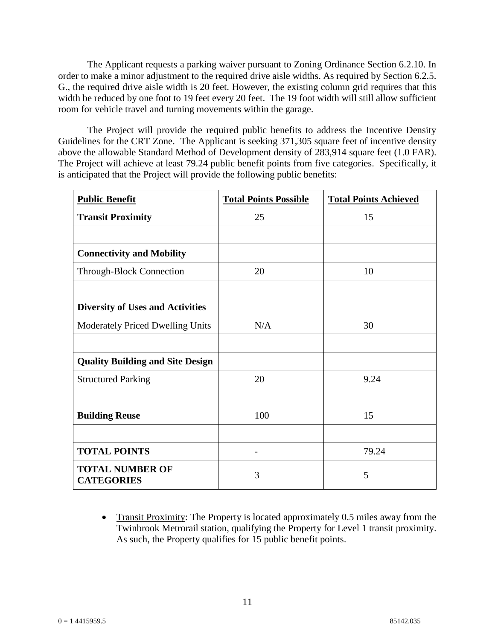The Applicant requests a parking waiver pursuant to Zoning Ordinance Section 6.2.10. In order to make a minor adjustment to the required drive aisle widths. As required by Section 6.2.5. G., the required drive aisle width is 20 feet. However, the existing column grid requires that this width be reduced by one foot to 19 feet every 20 feet. The 19 foot width will still allow sufficient room for vehicle travel and turning movements within the garage.

The Project will provide the required public benefits to address the Incentive Density Guidelines for the CRT Zone. The Applicant is seeking 371,305 square feet of incentive density above the allowable Standard Method of Development density of 283,914 square feet (1.0 FAR). The Project will achieve at least 79.24 public benefit points from five categories. Specifically, it is anticipated that the Project will provide the following public benefits:

| <b>Public Benefit</b>                       | <b>Total Points Possible</b> | <b>Total Points Achieved</b> |
|---------------------------------------------|------------------------------|------------------------------|
| <b>Transit Proximity</b>                    | 25                           | 15                           |
|                                             |                              |                              |
| <b>Connectivity and Mobility</b>            |                              |                              |
| <b>Through-Block Connection</b>             | 20                           | 10                           |
|                                             |                              |                              |
| <b>Diversity of Uses and Activities</b>     |                              |                              |
| Moderately Priced Dwelling Units            | N/A                          | 30                           |
|                                             |                              |                              |
| <b>Quality Building and Site Design</b>     |                              |                              |
| <b>Structured Parking</b>                   | 20                           | 9.24                         |
|                                             |                              |                              |
| <b>Building Reuse</b>                       | 100                          | 15                           |
|                                             |                              |                              |
| <b>TOTAL POINTS</b>                         | $\overline{a}$               | 79.24                        |
| <b>TOTAL NUMBER OF</b><br><b>CATEGORIES</b> | 3                            | 5                            |

• Transit Proximity: The Property is located approximately 0.5 miles away from the Twinbrook Metrorail station, qualifying the Property for Level 1 transit proximity. As such, the Property qualifies for 15 public benefit points.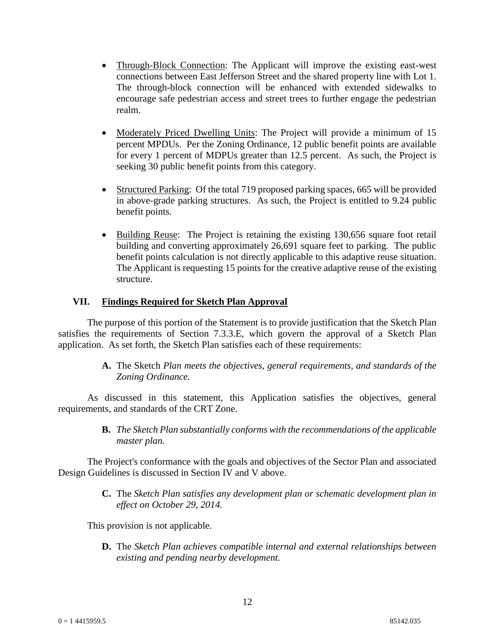- Through-Block Connection: The Applicant will improve the existing east-west connections between East Jefferson Street and the shared property line with Lot 1. The through-block connection will be enhanced with extended sidewalks to encourage safe pedestrian access and street trees to further engage the pedestrian realm.
- Moderately Priced Dwelling Units: The Project will provide a minimum of 15 percent MPDUs. Per the Zoning Ordinance, 12 public benefit points are available for every 1 percent of MDPUs greater than 12.5 percent. As such, the Project is seeking 30 public benefit points from this category.
- Structured Parking: Of the total 719 proposed parking spaces, 665 will be provided in above-grade parking structures. As such, the Project is entitled to 9.24 public benefit points.
- Building Reuse: The Project is retaining the existing 130,656 square foot retail building and converting approximately 26,691 square feet to parking. The public benefit points calculation is not directly applicable to this adaptive reuse situation. The Applicant is requesting 15 points for the creative adaptive reuse of the existing structure.

## **VII. Findings Required for Sketch Plan Approval**

The purpose of this portion of the Statement is to provide justification that the Sketch Plan satisfies the requirements of Section 7.3.3.E, which govern the approval of a Sketch Plan application. As set forth, the Sketch Plan satisfies each of these requirements:

> **A.** The Sketch *Plan meets the objectives, general requirements, and standards of the Zoning Ordinance.*

As discussed in this statement, this Application satisfies the objectives, general requirements, and standards of the CRT Zone.

> **B.** *The Sketch Plan substantially conforms with the recommendations of the applicable master plan.*

The Project's conformance with the goals and objectives of the Sector Plan and associated Design Guidelines is discussed in Section IV and V above.

> **C.** The *Sketch Plan satisfies any development plan or schematic development plan in effect on October 29, 2014.*

This provision is not applicable.

**D.** The *Sketch Plan achieves compatible internal and external relationships between existing and pending nearby development.*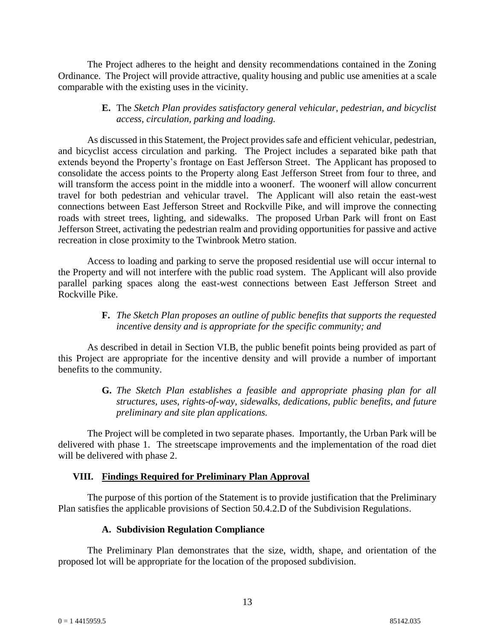The Project adheres to the height and density recommendations contained in the Zoning Ordinance. The Project will provide attractive, quality housing and public use amenities at a scale comparable with the existing uses in the vicinity.

## **E.** The *Sketch Plan provides satisfactory general vehicular, pedestrian, and bicyclist access, circulation, parking and loading.*

As discussed in this Statement, the Project provides safe and efficient vehicular, pedestrian, and bicyclist access circulation and parking. The Project includes a separated bike path that extends beyond the Property's frontage on East Jefferson Street. The Applicant has proposed to consolidate the access points to the Property along East Jefferson Street from four to three, and will transform the access point in the middle into a woonerf. The woonerf will allow concurrent travel for both pedestrian and vehicular travel. The Applicant will also retain the east-west connections between East Jefferson Street and Rockville Pike, and will improve the connecting roads with street trees, lighting, and sidewalks. The proposed Urban Park will front on East Jefferson Street, activating the pedestrian realm and providing opportunities for passive and active recreation in close proximity to the Twinbrook Metro station.

Access to loading and parking to serve the proposed residential use will occur internal to the Property and will not interfere with the public road system. The Applicant will also provide parallel parking spaces along the east-west connections between East Jefferson Street and Rockville Pike.

### **F.** *The Sketch Plan proposes an outline of public benefits that supports the requested incentive density and is appropriate for the specific community; and*

As described in detail in Section VI.B, the public benefit points being provided as part of this Project are appropriate for the incentive density and will provide a number of important benefits to the community.

> **G.** *The Sketch Plan establishes a feasible and appropriate phasing plan for all structures, uses, rights-of-way, sidewalks, dedications, public benefits, and future preliminary and site plan applications.*

The Project will be completed in two separate phases. Importantly, the Urban Park will be delivered with phase 1. The streetscape improvements and the implementation of the road diet will be delivered with phase 2.

### **VIII. Findings Required for Preliminary Plan Approval**

The purpose of this portion of the Statement is to provide justification that the Preliminary Plan satisfies the applicable provisions of Section 50.4.2.D of the Subdivision Regulations.

### **A. Subdivision Regulation Compliance**

The Preliminary Plan demonstrates that the size, width, shape, and orientation of the proposed lot will be appropriate for the location of the proposed subdivision.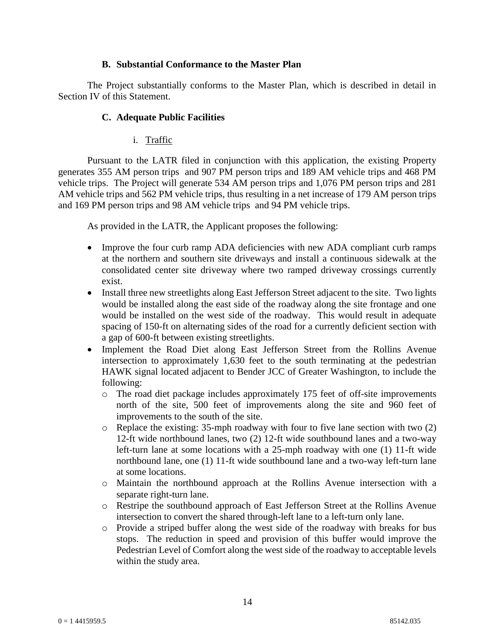### **B. Substantial Conformance to the Master Plan**

The Project substantially conforms to the Master Plan, which is described in detail in Section IV of this Statement.

## **C. Adequate Public Facilities**

# i. Traffic

Pursuant to the LATR filed in conjunction with this application, the existing Property generates 355 AM person trips and 907 PM person trips and 189 AM vehicle trips and 468 PM vehicle trips. The Project will generate 534 AM person trips and 1,076 PM person trips and 281 AM vehicle trips and 562 PM vehicle trips, thus resulting in a net increase of 179 AM person trips and 169 PM person trips and 98 AM vehicle trips and 94 PM vehicle trips.

As provided in the LATR, the Applicant proposes the following:

- Improve the four curb ramp ADA deficiencies with new ADA compliant curb ramps at the northern and southern site driveways and install a continuous sidewalk at the consolidated center site driveway where two ramped driveway crossings currently exist.
- Install three new streetlights along East Jefferson Street adjacent to the site. Two lights would be installed along the east side of the roadway along the site frontage and one would be installed on the west side of the roadway. This would result in adequate spacing of 150-ft on alternating sides of the road for a currently deficient section with a gap of 600-ft between existing streetlights.
- Implement the Road Diet along East Jefferson Street from the Rollins Avenue intersection to approximately 1,630 feet to the south terminating at the pedestrian HAWK signal located adjacent to Bender JCC of Greater Washington, to include the following:
	- o The road diet package includes approximately 175 feet of off-site improvements north of the site, 500 feet of improvements along the site and 960 feet of improvements to the south of the site.
	- o Replace the existing: 35-mph roadway with four to five lane section with two (2) 12-ft wide northbound lanes, two (2) 12-ft wide southbound lanes and a two-way left-turn lane at some locations with a 25-mph roadway with one (1) 11-ft wide northbound lane, one (1) 11-ft wide southbound lane and a two-way left-turn lane at some locations.
	- o Maintain the northbound approach at the Rollins Avenue intersection with a separate right-turn lane.
	- o Restripe the southbound approach of East Jefferson Street at the Rollins Avenue intersection to convert the shared through-left lane to a left-turn only lane.
	- o Provide a striped buffer along the west side of the roadway with breaks for bus stops. The reduction in speed and provision of this buffer would improve the Pedestrian Level of Comfort along the west side of the roadway to acceptable levels within the study area.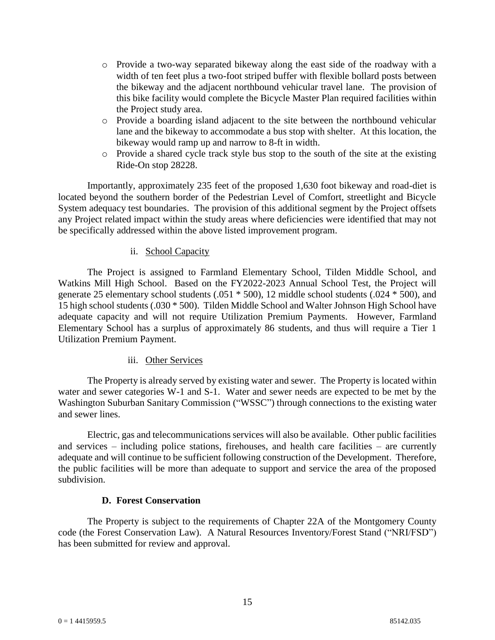- o Provide a two-way separated bikeway along the east side of the roadway with a width of ten feet plus a two-foot striped buffer with flexible bollard posts between the bikeway and the adjacent northbound vehicular travel lane. The provision of this bike facility would complete the Bicycle Master Plan required facilities within the Project study area.
- o Provide a boarding island adjacent to the site between the northbound vehicular lane and the bikeway to accommodate a bus stop with shelter. At this location, the bikeway would ramp up and narrow to 8-ft in width.
- o Provide a shared cycle track style bus stop to the south of the site at the existing Ride-On stop 28228.

Importantly, approximately 235 feet of the proposed 1,630 foot bikeway and road-diet is located beyond the southern border of the Pedestrian Level of Comfort, streetlight and Bicycle System adequacy test boundaries. The provision of this additional segment by the Project offsets any Project related impact within the study areas where deficiencies were identified that may not be specifically addressed within the above listed improvement program.

## ii. School Capacity

The Project is assigned to Farmland Elementary School, Tilden Middle School, and Watkins Mill High School. Based on the FY2022-2023 Annual School Test, the Project will generate 25 elementary school students (.051 \* 500), 12 middle school students (.024 \* 500), and 15 high school students (.030 \* 500). Tilden Middle School and Walter Johnson High School have adequate capacity and will not require Utilization Premium Payments. However, Farmland Elementary School has a surplus of approximately 86 students, and thus will require a Tier 1 Utilization Premium Payment.

### iii. Other Services

The Property is already served by existing water and sewer. The Property is located within water and sewer categories W-1 and S-1. Water and sewer needs are expected to be met by the Washington Suburban Sanitary Commission ("WSSC") through connections to the existing water and sewer lines.

Electric, gas and telecommunications services will also be available. Other public facilities and services – including police stations, firehouses, and health care facilities – are currently adequate and will continue to be sufficient following construction of the Development. Therefore, the public facilities will be more than adequate to support and service the area of the proposed subdivision.

# **D. Forest Conservation**

The Property is subject to the requirements of Chapter 22A of the Montgomery County code (the Forest Conservation Law). A Natural Resources Inventory/Forest Stand ("NRI/FSD") has been submitted for review and approval.